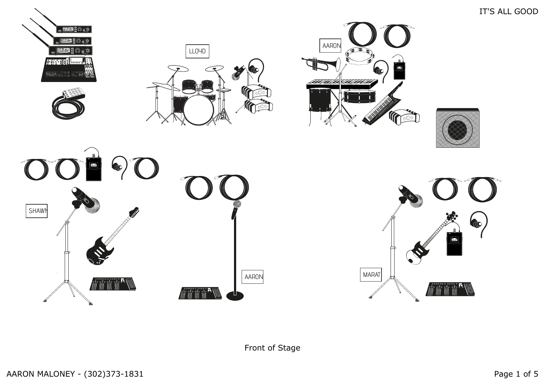IT'S ALL GOOD



Front of Stage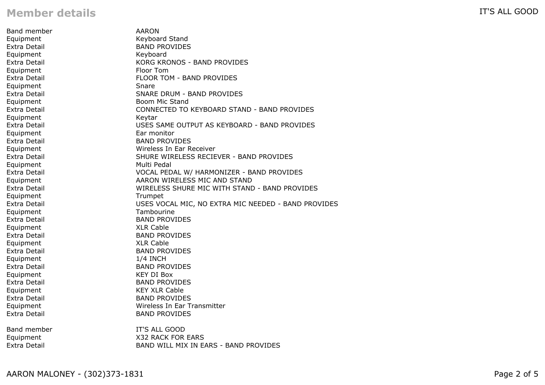## **Member details**

Band member Equipment Extra Detail AARON Keyboard Stand BAND PROVIDES Equipment Extra Detail Keyboard KORG KRONOS - BAND PROVIDES Equipment Extra Detail Floor Tom FLOOR TOM - BAND PROVIDES **Equipment** Extra Detail Snare SNARE DRUM - BAND PROVIDES Equipment Extra Detail Boom Mic Stand CONNECTED TO KEYBOARD STAND - BAND PROVIDES Equipment Extra Detail Keytar USES SAME OUTPUT AS KEYBOARD - BAND PROVIDES Equipment Extra Detail Ear monitor BAND PROVIDES Equipment Extra Detail Wireless In Ear Receiver SHURE WIRELESS RECIEVER - BAND PROVIDES Equipment Extra Detail Multi Pedal VOCAL PEDAL W/ HARMONIZER - BAND PROVIDES Equipment Extra Detail AARON WIRELESS MIC AND STAND WIRELESS SHURE MIC WITH STAND - BAND PROVIDES Equipment Extra Detail Trumpet USES VOCAL MIC, NO EXTRA MIC NEEDED - BAND PROVIDES Equipment Extra Detail Tambourine BAND PROVIDES Equipment Extra Detail XLR Cable BAND PROVIDES Equipment Extra Detail XLR Cable BAND PROVIDES Equipment Extra Detail 1/4 INCH BAND PROVIDES Equipment Extra Detail KEY DI Box BAND PROVIDES Equipment Extra Detail KEY XLR Cable BAND PROVIDES Equipment Extra Detail Wireless In Ear Transmitter BAND PROVIDES Band member Equipment Extra Detail IT'S ALL GOOD X32 RACK FOR EARS BAND WILL MIX IN EARS - BAND PROVIDES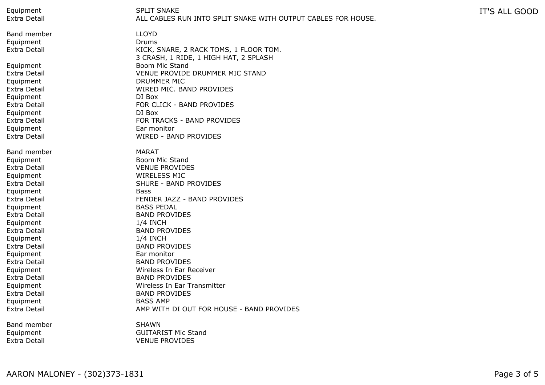Equipment Extra Detail

Band member Equipment Extra Detail

Equipment Extra Detail Equipment Extra Detail Equipment Extra Detail Equipment Extra Detail Equipment Extra Detail

Band member Equipment Extra Detail Equipment Extra Detail Equipment Extra Detail Equipment Extra Detail **Equipment** Extra Detail Equipment Extra Detail Equipment Extra Detail Equipment Extra Detail Equipment Extra Detail Equipment Extra Detail

Band member Equipment Extra Detail

SPLIT SNAKE ALL CABLES RUN INTO SPLIT SNAKE WITH OUTPUT CABLES FOR HOUSE. IT'S ALL GOOD

LLOYD Drums KICK, SNARE, 2 RACK TOMS, 1 FLOOR TOM. 3 CRASH, 1 RIDE, 1 HIGH HAT, 2 SPLASH Boom Mic Stand VENUE PROVIDE DRUMMER MIC STAND DRUMMER MIC WIRED MIC. BAND PROVIDES DI Box FOR CLICK - BAND PROVIDES DI Box FOR TRACKS - BAND PROVIDES Ear monitor WIRED - BAND PROVIDES MARAT Boom Mic Stand VENUE PROVIDES WIRELESS MIC SHURE - BAND PROVIDES Bass FENDER JAZZ - BAND PROVIDES BASS PEDAL BAND PROVIDES 1/4 INCH BAND PROVIDES 1/4 INCH BAND PROVIDES Ear monitor BAND PROVIDES Wireless In Ear Receiver BAND PROVIDES Wireless In Ear Transmitter BAND PROVIDES BASS AMP AMP WITH DI OUT FOR HOUSE - BAND PROVIDES SHAWN

GUITARIST Mic Stand VENUE PROVIDES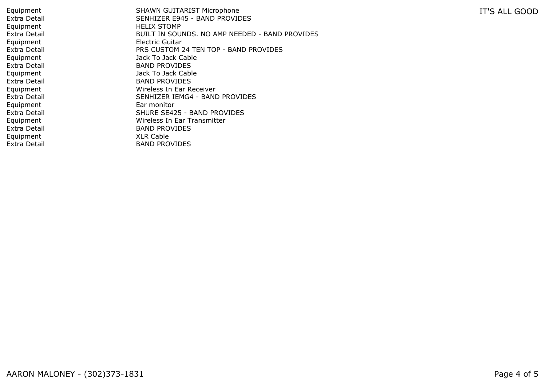SHAWN GUITARIST Microphone SENHIZER E945 - BAND PROVIDES HELIX STOMP BUILT IN SOUNDS. NO AMP NEEDED - BAND PROVIDES Electric Guitar PRS CUSTOM 24 TEN TOP - BAND PROVIDES Jack To Jack Cable BAND PROVIDES Jack To Jack Cable BAND PROVIDES Wireless In Ear Receiver SENHIZER IEMG4 - BAND PROVIDES Ear monitor SHURE SE425 - BAND PROVIDES Wireless In Ear Transmitter BAND PROVIDES XLR Cable BAND PROVIDES

IT'S ALL GOOD